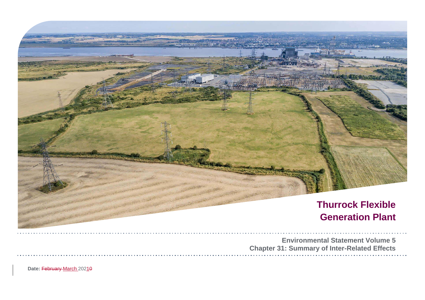

Date: February March 20210

| tal Statement Volume 5   |  |  |  |  |  |  |  |  |  |  |  |  |  |  |
|--------------------------|--|--|--|--|--|--|--|--|--|--|--|--|--|--|
| of Inter-Related Effects |  |  |  |  |  |  |  |  |  |  |  |  |  |  |
|                          |  |  |  |  |  |  |  |  |  |  |  |  |  |  |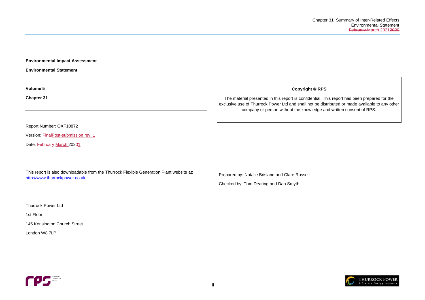

ii

**Environmental Impact Assessment** 

**Environmental Statement**

**Volume 5**

**Chapter 31**

Report Number: OXF10872

Version: FinalPost-submission rev. 1

Date: February March 20201

This report is also downloadable from the Thurrock Flexible Generation Plant website at: [http://www.thurrockpower.co.uk](http://www.thurrockpower.co.uk/)

Thurrock Power Ltd

1st Floor

145 Kensington Church Street

London W8 7LP



**Copyright © RPS**

The material presented in this report is confidential. This report has been prepared for the exclusive use of Thurrock Power Ltd and shall not be distributed or made available to any other company or person without the knowledge and written consent of RPS.

Prepared by: Natalie Brisland and Clare Russell

Checked by: Tom Dearing and Dan Smyth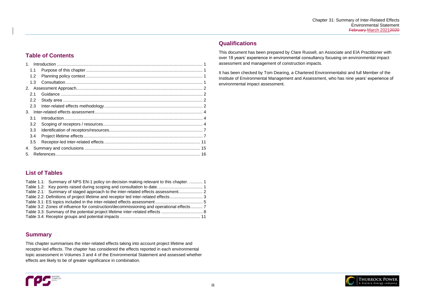

# **Table of Contents**

# **List of Tables**

| Table 1.1: Summary of NPS EN-1 policy on decision making relevant to this chapter.  1    |  |
|------------------------------------------------------------------------------------------|--|
|                                                                                          |  |
|                                                                                          |  |
|                                                                                          |  |
|                                                                                          |  |
| Table 3.2: Zones of influence for construction/decommissioning and operational effects 7 |  |
|                                                                                          |  |
|                                                                                          |  |

# **Summary**

This chapter summarises the inter-related effects taking into account project lifetime and receptor-led effects. The chapter has considered the effects reported in each environmental topic assessment in Volumes 3 and 4 of the Environmental Statement and assessed whether effects are likely to be of greater significance in combination.



# **Qualifications**

This document has been prepared by Clare Russell, an Associate and EIA Practitioner with over 18 years' experience in environmental consultancy focusing on environmental impact assessment and management of construction impacts.

It has been checked by Tom Dearing, a Chartered Environmentalist and full Member of the Institute of Environmental Management and Assessment, who has nine years' experience of environmental impact assessment.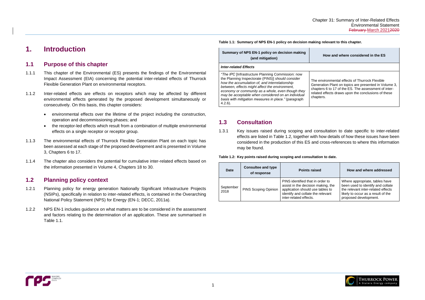# <span id="page-3-0"></span>**1. Introduction**

# <span id="page-3-1"></span>**1.1 Purpose of this chapter**

- 1.1.1 This chapter of the Environmental (ES) presents the findings of the Environmental Impact Assessment (EIA) concerning the potential inter-related effects of Thurrock Flexible Generation Plant on environmental receptors.
- 1.1.2 Inter-related effects are effects on receptors which may be affected by different environmental effects generated by the proposed development simultaneously or consecutively. On this basis, this chapter considers:
	- environmental effects over the lifetime of the project including the construction, operation and decommissioning phases; and
	- the receptor-led effects which result from a combination of multiple environmental effects on a single receptor or receptor group.
- 1.1.3 The environmental effects of Thurrock Flexible Generation Plant on each topic has been assessed at each stage of the proposed development and is presented in Volume 3, Chapters 6 to 17.
- 1.1.4 The chapter also considers the potential for cumulative inter-related effects based on the information presented in Volume 4, Chapters 18 to 30.

# <span id="page-3-2"></span>**1.2 Planning policy context**

- 1.2.1 Planning policy for energy generation Nationally Significant Infrastructure Projects (NSIPs), specifically in relation to inter-related effects, is contained in the Overarching National Policy Statement (NPS) for Energy (EN-1; DECC, 2011a).
- 1.2.2 NPS EN-1 includes guidance on what matters are to be considered in the assessment and factors relating to the determination of an application. These are summarised in [Table 1.1.](#page-3-4)

<span id="page-3-4"></span>**Table 1.1: Summary of NPS EN-1 policy on decision making relevant to this chapter.**

**Summary of NPS EN-1 policy on decision making (and mitigation)**

**How and where considered in the ES**



#### *Inter-related Effects*

*"The IPC* [Infrastructure Planning Commission: now the Planning Inspectorate (PINS)] *should consider how the accumulation of, and interrelationship between, effects might affect the environment, economy or community as a whole, even though they may be acceptable when considered on an individual basis with mitigation measures in place."* (paragraph 4.2.6). The environmental effects of Thurrock Flexible Generation Plant on topics are presented in Volume 3, chapters 6 to 17 of the ES. The assessment of interrelated effects draws upon the conclusions of these chapters.

# <span id="page-3-3"></span>**1.3 Consultation**

1.3.1 Key issues raised during scoping and consultation to date specific to inter-related effects are listed in [Table 1.2,](#page-3-5) together with how details of how these issues have been considered in the production of this ES and cross-references to where this information may be found.

<span id="page-3-5"></span>**Table 1.2: Key points raised during scoping and consultation to date.**

| <b>Date</b>       | <b>Consultee and type</b><br>of response | <b>Points raised</b>                                                                                                                                                      | How and where addressed                                                                                                                                                  |  |  |
|-------------------|------------------------------------------|---------------------------------------------------------------------------------------------------------------------------------------------------------------------------|--------------------------------------------------------------------------------------------------------------------------------------------------------------------------|--|--|
| September<br>2018 | PINS Scoping Opinion                     | PINS identified that in order to<br>assist in the decision making, the<br>application should use tables to<br>identify and collate the relevant<br>inter-related effects. | Where appropriate, tables have<br>been used to identify and collate<br>the relevant inter-related effects<br>likely to occur as a result of the<br>proposed development. |  |  |

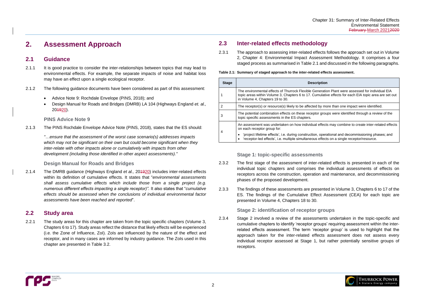eration Plant were assessed for individual EIA ulative effects for each EIA topic area are set out

y more than one impact were identified.

groups were identified through a review of the

ffects may combine to create inter-related effects

operational and decommissioning phases; and ffects on a single receptor/resource.



# <span id="page-4-0"></span>**2. Assessment Approach**

## <span id="page-4-1"></span>**2.1 Guidance**

- 2.1.1 It is good practice to consider the inter-relationships between topics that may lead to environmental effects. For example, the separate impacts of noise and habitat loss may have an effect upon a single ecological receptor.
- 2.1.2 The following guidance documents have been considered as part of this assessment:
	- Advice Note 9: Rochdale Envelope (PINS, 2018); and
	- Design Manual for Roads and Bridges (DMRB) LA 104 (Highways England *et. al.,*  201920).

### **PINS Advice Note 9**

2.1.3 The PINS Rochdale Envelope Advice Note (PINS, 2018), states that the ES should:

2.1.4 The DMRB guidance (Highways England *et al.,* 20<del>1920</del>) includes inter-related effects within its definition of cumulative effects. It states that "*environmental assessments shall assess cumulative effects which include those from a single project (e.g. numerous different effects impacting a single receptor)".* It also states that "*cumulative effects should be assessed when the conclusions of individual environmental factor assessments have been reached and reported*".

*"…ensure that the assessment of the worst case scenario(s) addresses impacts which may not be significant on their own but could become significant when they inter-relate with other impacts alone or cumulatively with impacts from other development (including those identified in other aspect assessments)."*

### **Design Manual for Roads and Bridges**

## <span id="page-4-2"></span>**2.2 Study area**

2.2.1 The study areas for this chapter are taken from the topic specific chapters (Volume 3, Chapters 6 to 17). Study areas reflect the distance that likely effects will be experienced (i.e. the Zone of Influence, ZoI). ZoIs are influenced by the nature of the effect and receptor, and in many cases are informed by industry guidance. The ZoIs used in this chapter are presented in [Table 3.2.](#page-9-2)

# <span id="page-4-3"></span>**2.3 Inter-related effects methodology**

2.3.1 The approach to assessing inter-related effects follows the approach set out in Volume 2, Chapter 4: Environmental Impact Assessment Methodology. It comprises a four staged process as summarised in [Table 2.1](#page-4-4) and discussed in the following paragraphs.

#### <span id="page-4-4"></span>**Table 2.1: Summary of staged approach to the inter-related effects assessment.**

| <b>Stage</b> | <b>Description</b>                                                                                                                                      |
|--------------|---------------------------------------------------------------------------------------------------------------------------------------------------------|
|              | The environmental effects of Thurrock Flexible Generatic<br>topic areas within Volume 3, Chapters 6 to 17. Cumulativ<br>in Volume 4, Chapters 19 to 30. |
| -2           | The receptor(s) or resource(s) likely to be affected by mo                                                                                              |
| 3            | The potential combination effects on these receptor grou<br>topic specific assessments in the ES chapters.                                              |
| 4            | An assessment was undertaken on how individual effects<br>on each receptor group for:                                                                   |
|              | 'project lifetime effects', i.e. during construction, opera<br>'receptor-led effects', i.e. multiple simultaneous effect                                |

**Stage 1: topic-specific assessments** 

- 2.3.2 The first stage of the assessment of inter-related effects is presented in each of the individual topic chapters and comprises the individual assessments of effects on receptors across the construction, operation and maintenance, and decommissioning phases of the proposed development.
- 2.3.3 The findings of these assessments are presented in Volume 3, Chapters 6 to 17 of the ES. The findings of the Cumulative Effect Assessment (CEA) for each topic are presented in Volume 4, Chapters 18 to 30.

### **Stage 2: identification of receptor groups**

2.3.4 Stage 2 involved a review of the assessments undertaken in the topic-specific and cumulative chapters to identify 'receptor groups' requiring assessment within the interrelated effects assessment. The term 'receptor group' is used to highlight that the approach taken for the inter-related effects assessment does not assess every individual receptor assessed at Stage 1, but rather potentially sensitive groups of receptors.

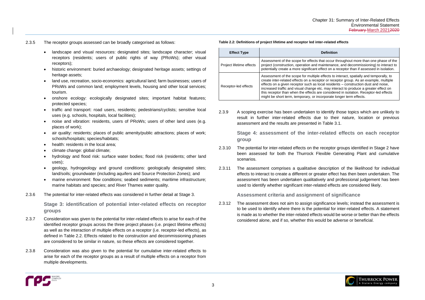#### **Definition**

at occur throughout more than one phase of the aintenance, and decommissioning) to interact to fect on a receptor than if assessed in isolation.

effects to interact, spatially and temporally, to tor or receptor group. As an example, multiple cal residents – construction dust and noise, : may interact to produce a greater effect on considered in isolation. Receptor-led effects proporate longer term effects.



- 2.3.5 The receptor groups assessed can be broadly categorised as follows:
	- landscape and visual resources: designated sites; landscape character; visual receptors (residents; users of public rights of way (PRoWs); other visual receptors);
	- historic environment: buried archaeology; designated heritage assets; settings of heritage assets;
	- land use, recreation, socio-economics: agricultural land; farm businesses; users of PRoWs and common land; employment levels, housing and other local services; tourism.
	- onshore ecology: ecologically designated sites; important habitat features; protected species;
	- traffic and transport: road users, residents; pedestrians/cyclists; sensitive local uses (e.g. schools, hospitals, local facilities);
	- noise and vibration: residents, users of PRoWs; users of other land uses (e.g. places of work);
	- air quality: residents; places of public amenity/public attractions; places of work; schools/hospitals; species/habitats;
	- health: residents in the local area;
	- climate change: global climate;
	- hydrology and flood risk: surface water bodies; flood risk (residents; other land uses);
	- geology, hydrogeology and ground conditions: geologically designated sites; land/soils; groundwater (including aquifers and Source Protection Zones); and
	- marine environment: flow conditions; seabed sediments; maritime infrastructure; marine habitats and species; and River Thames water quality.
- 2.3.6 The potential for inter-related effects was considered in further detail at Stage 3.

**Stage 3: identification of potential inter-related effects on receptor groups**

- 2.3.7 Consideration was given to the potential for inter-related effects to arise for each of the identified receptor groups across the three project phases (i.e. project lifetime effects) as well as the interaction of multiple effects on a receptor (i.e. receptor-led effects), as defined in [Table 2.2.](#page-5-0) Effects related to the construction and decommissioning phases are considered to be similar in nature, so these effects are considered together.
- 2.3.8 Consideration was also given to the potential for cumulative inter-related effects to arise for each of the receptor groups as a result of multiple effects on a receptor from multiple developments.



### <span id="page-5-0"></span>**Table 2.2: Definitions of project lifetime and receptor led inter-related effects**

| <b>Effect Type</b>       |                                                                                                                                                                                                                                                                |
|--------------------------|----------------------------------------------------------------------------------------------------------------------------------------------------------------------------------------------------------------------------------------------------------------|
| Project lifetime effects | Assessment of the scope for effects th<br>project (construction, operation and ma<br>potentially create a more significant eff                                                                                                                                 |
| Receptor-led effects     | Assessment of the scope for multiple e<br>create inter-related effects on a recept<br>effects on a given receptor such as loo<br>increased traffic and visual change etc<br>this receptor than when the effects are<br>might be short term, temporary, or inco |

2.3.9 A scoping exercise has been undertaken to identify those topics which are unlikely to result in further inter-related effects due to their nature, location or previous assessment and the results are presented in [Table 3.1.](#page-7-0)

> **Stage 4: assessment of the inter-related effects on each receptor group**

- 2.3.10 The potential for inter-related effects on the receptor groups identified in Stage 2 have been assessed for both the Thurrock Flexible Generating Plant and cumulative scenarios.
- 2.3.11 The assessment comprises a qualitative description of the likelihood for individual effects to interact to create a different or greater effect has then been undertaken. The assessment has been undertaken qualitatively and professional judgement has been used to identify whether significant inter-related effects are considered likely.

**Assessment criteria and assignment of significance**

2.3.12 The assessment does not aim to assign significance levels; instead the assessment is to be used to identify where there is the potential for inter-related effects. A statement is made as to whether the inter-related effects would be worse or better than the effects considered alone, and if so, whether this would be adverse or beneficial.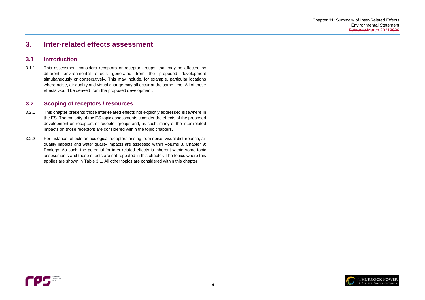

# <span id="page-6-0"></span>**3. Inter-related effects assessment**

## <span id="page-6-1"></span>**3.1 Introduction**

3.1.1 This assessment considers receptors or receptor groups, that may be affected by different environmental effects generated from the proposed development simultaneously or consecutively. This may include, for example, particular locations where noise, air quality and visual change may all occur at the same time. All of these effects would be derived from the proposed development.

## <span id="page-6-2"></span>**3.2 Scoping of receptors / resources**

- 3.2.1 This chapter presents those inter-related effects not explicitly addressed elsewhere in the ES. The majority of the ES topic assessments consider the effects of the proposed development on receptors or receptor groups and, as such, many of the inter-related impacts on those receptors are considered within the topic chapters.
- 3.2.2 For instance, effects on ecological receptors arising from noise, visual disturbance, air quality impacts and water quality impacts are assessed within Volume 3, Chapter 9: Ecology. As such, the potential for inter-related effects is inherent within some topic assessments and these effects are not repeated in this chapter. The topics where this applies are shown in [Table 3.1.](#page-7-0) All other topics are considered within this chapter.

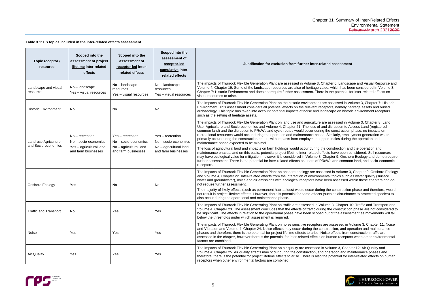**Plated assessment** 

Chapter 6: Landscape and Visual Resource and value, which has been considered in Volume 3, re is the potential for inter-related effects on

are assessed in Volume 3, Chapter 7: Historic ceptors, namely heritage assets and buried andscape on historic environment receptors

are assessed in Volume 3, Chapter 8: Land and disruption to Access Land (registered ng the construction phase; no impacts on se. Similarly, employment generation would pportunities during the operation and

the construction and the operation and ffects have been considered. Soil resources , Chapter 9: Onshore Ecology and do not require RoWs and common land, and socio-economic

essed in Volume 3, Chapter 9: Onshore Ecology nental topics such as water quality (surface e been assessed within these chapters and do

ng the construction phase and therefore, would gouch as disturbance to protected species) to

olume 3. Chapter 10: Traffic and Transport and ing the construction phase are not considered to ed out of the assessment as movements will fall

are assessed in Volume 3, Chapter 11: Noise onstruction, and operation and maintenance Noise effects from construction traffic are on human receptors when other environmental

in Volume 3, Chapter 12: Air Quality and d operation and maintenance phases and the potential for inter-related effects on human



#### <span id="page-7-0"></span>**Table 3.1: ES topics included in the inter-related effects assessment**

| Topic receptor /<br>resource                 | Scoped into the<br>assessment of project<br>lifetime inter-related<br>effects               | Scoped into the<br>assessment of<br>receptor-led inter-<br>related effects                | Scoped into the<br>assessment of<br>receptor-led<br>cumulative inter-<br>related effects    | Justification for exclusion from further inter-re                                                                                                                                                                                                                                                                                                                                                                                                                                                                                                 |
|----------------------------------------------|---------------------------------------------------------------------------------------------|-------------------------------------------------------------------------------------------|---------------------------------------------------------------------------------------------|---------------------------------------------------------------------------------------------------------------------------------------------------------------------------------------------------------------------------------------------------------------------------------------------------------------------------------------------------------------------------------------------------------------------------------------------------------------------------------------------------------------------------------------------------|
| Landscape and visual<br>resource             | No - landscape<br>Yes - visual resources                                                    | No - landscape<br>resources<br>Yes - visual resources                                     | No - landscape<br>resources<br>Yes - visual resources                                       | The impacts of Thurrock Flexible Generation Plant are assessed in Volume 3, 0<br>Volume 4, Chapter 19. Some of the landscape resources are also of heritage va<br>Chapter 7: Historic Environment and does not require further assessment. Ther<br>visual resources to arise.                                                                                                                                                                                                                                                                     |
| <b>Historic Environment</b>                  | No                                                                                          | No                                                                                        | No                                                                                          | The impacts of Thurrock Flexible Generation Plant on the historic environment a<br>Environment. This assessment considers all potential effects on the relevant red<br>archaeology. This topic has taken into account potential impacts of noise and la<br>such as the setting of heritage assets.                                                                                                                                                                                                                                                |
| Land-use Agriculture,<br>and Socio-economics | $No$ – recreation<br>No - socio-economics<br>Yes - agricultural land<br>and farm businesses | Yes - recreation<br>No - socio-economics<br>No - agricultural land<br>and farm businesses | Yes - recreation<br>No - socio-economics<br>$No - agricultural$ land<br>and farm businesses | The impacts of Thurrock Flexible Generation Plant on land use and agriculture a<br>Use, Agriculture and Socio-economics and Volume 4, Chapter 21. The loss of a<br>common land) and the disruption to PRoWs and cycle routes would occur durin<br>recreational resources would occur during the operation and maintenance phas<br>primarily occur during the construction phase, with impacts from employment op<br>maintenance phase expected to be minimal.<br>The loss of agricultural land and impacts on farm holdings would occur during tl |
|                                              |                                                                                             |                                                                                           |                                                                                             | maintenance phases, and on this basis, potential project lifetime inter-related ef<br>may have ecological value for mitigation, however it is considered in Volume 3,<br>further assessment. There is the potential for inter-related effects on users of PI<br>receptors.                                                                                                                                                                                                                                                                        |
| Onshore Ecology                              | Yes                                                                                         | No                                                                                        | No                                                                                          | The impacts of Thurrock Flexible Generation Plant on onshore ecology are asse<br>and Volume 4, Chapter 22. Inter-related effects from the interaction of environm<br>water and groundwater), noise and air emissions with ecological receptors have<br>not require further assessment.                                                                                                                                                                                                                                                            |
|                                              |                                                                                             |                                                                                           |                                                                                             | The majority of likely effects (such as permanent habitat loss) would occur durir<br>not result in project lifetime effects. However, there is potential for some effects<br>also occur during the operational and maintenance phase.                                                                                                                                                                                                                                                                                                             |
| <b>Traffic and Transport</b>                 | No                                                                                          | Yes                                                                                       | Yes                                                                                         | The impacts of Thurrock Flexible Generating Plant on traffic are assessed in Vo<br>Volume 4, Chapter 23. The assessment concludes that the effects of traffic duri<br>be significant. The effects in relation to the operational phase have been scopee<br>below the thresholds under which assessment is required.                                                                                                                                                                                                                               |
| Noise                                        | <b>Yes</b>                                                                                  | Yes                                                                                       | Yes                                                                                         | The impacts of Thurrock Flexible Generating Plant on noise sensitive receptors<br>and Vibration and Volume 4, Chapter 24. Noise effects may occur during the co<br>phases and therefore, there is the potential for project lifetime effects to arise. N<br>assessed in the chapter, however there is the potential for inter-related effects of<br>factors are combined.                                                                                                                                                                         |
| <b>Air Quality</b>                           | Yes                                                                                         | Yes                                                                                       | Yes                                                                                         | The impacts of Thurrock Flexible Generating Plant on air quality are assessed i<br>Volume 4, Chapter 25. Air quality effects may occur during the construction, and<br>therefore, there is the potential for project lifetime effects to arise. There is also<br>receptors when other environmental factors are combined.                                                                                                                                                                                                                         |

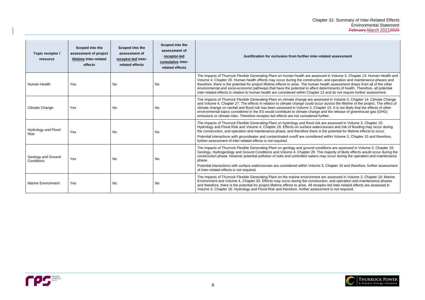#### **Justificated assessment**

essed in Volume 3, Chapter 13: Human Health and ion, and operation and maintenance phases and i health assessment draws from all of the other determinants of health. Therefore, all potential r 13 and do not require further assessment.

sessed in Volume 3, Chapter 14: Climate Change ccur across the lifetime of the project. The effect of apter 15. It is not likely that the effects of other  $\frac{1}{2}$ e and the release of greenhouse gas (GHG)

Sk are assessed in Volume 3, Chapter 15: tercourses and risk of flooding may occur during is the potential for lifetime effects to occur.

red within Volume 3, Chapter 15 and therefore,

Inditions are assessed in Volume 3, Chapter 16: The majority of likely effects would occur during the may occur during the operation and maintenance

e 3, Chapter 16 and therefore, further assessment

nt are assessed in Volume 3, Chapter 16: Marine uction, and operation and maintenance phases ceptor-led inter-related effects are assessed in ssment is not required.



| Topic receptor /<br>resource       | Scoped into the<br>assessment of project<br>lifetime inter-related<br>effects | Scoped into the<br>assessment of<br>receptor-led inter-<br>related effects | Scoped into the<br>assessment of<br>receptor-led<br>cumulative inter-<br>related effects | Justification for exclusion from further inter-related                                                                                                                                                                                                                                                                                                                                                                                              |
|------------------------------------|-------------------------------------------------------------------------------|----------------------------------------------------------------------------|------------------------------------------------------------------------------------------|-----------------------------------------------------------------------------------------------------------------------------------------------------------------------------------------------------------------------------------------------------------------------------------------------------------------------------------------------------------------------------------------------------------------------------------------------------|
| Human Health                       | Yes                                                                           | No                                                                         | No                                                                                       | The impacts of Thurrock Flexible Generating Plant on human health are assessed in<br>Volume 4, Chapter 26. Human health effects may occur during the construction, and<br>therefore, there is the potential for project lifetime effects to arise. The human health<br>environmental and socio-economic pathways that have the potential to affect determ<br>inter-related effects in relation to human health are considered within Chapter 13 and |
| <b>Climate Change</b>              | Yes                                                                           | No.                                                                        | <b>No</b>                                                                                | The impacts of Thurrock Flexible Generating Plant on climate change are assessed i<br>and Volume 4, Chapter 27. The effects in relation to climate change could occur acro<br>climate change on rainfall and flood risk has been assessed in Volume 3, Chapter 15<br>environmental topics considered in the ES would contribute to climate change and the<br>emissions or climate risks. Therefore receptor-led effects are not considered further. |
| Hydrology and Flood<br><b>Risk</b> | Yes                                                                           | No                                                                         | No                                                                                       | The impacts of Thurrock Flexible Generating Plant on hydrology and flood risk are as<br>Hydrology and Flood Risk and Volume 4, Chapter 28. Effects on surface watercourse<br>the construction, and operation and maintenance phase, and therefore there is the p<br>Potential interactions with groundwater and contaminated runoff are considered with<br>further assessment of inter-related effects is not required.                             |
| Geology and Ground<br>Conditions   | Yes                                                                           | No                                                                         | No                                                                                       | The impacts of Thurrock Flexible Generating Plant on geology and ground conditions<br>Geology, Hydrogeology and Ground Conditions and Volume 4, Chapter 29. The major<br>construction phase, however potential pollution of soils and controlled waters may od<br>phase.<br>Potential interactions with surface watercourses are considered within Volume 3, Cha<br>of inter-related effects is not required.                                       |
| <b>Marine Environment</b>          | Yes                                                                           | No                                                                         | No                                                                                       | The impacts of Thurrock Flexible Generating Plant on the marine environment are as<br>Environment and Volume 4, Chapter 30. Effects may occur during the construction, a<br>and therefore, there is the potential for project lifetime effects to arise. All receptor-le-<br>Volume 3, Chapter 16: Hydrology and Flood Risk and therefore, further assessment                                                                                       |

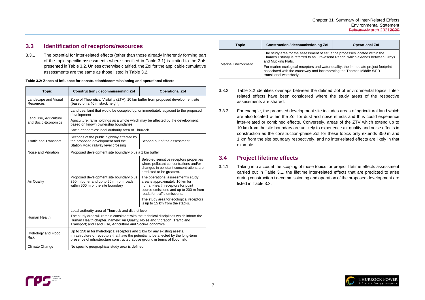

# <span id="page-9-0"></span>**3.3 Identification of receptors/resources**

3.3.1 The potential for inter-related effects (other than those already inherently forming part of the topic-specific assessments where specified in [Table 3.1\)](#page-7-0) is limited to the ZoIs presented in [Table 3.2.](#page-9-2) Unless otherwise clarified, the ZoI for the applicable cumulative assessments are the same as those listed in [Table 3.2.](#page-9-2)

<span id="page-9-2"></span>

| <b>Topic</b>                                 | <b>Construction / decommissioning Zol</b>                                                                                                                                                                                                      | <b>Operational Zol</b>                                                                                                                                                             |  |  |  |  |  |  |
|----------------------------------------------|------------------------------------------------------------------------------------------------------------------------------------------------------------------------------------------------------------------------------------------------|------------------------------------------------------------------------------------------------------------------------------------------------------------------------------------|--|--|--|--|--|--|
| Landscape and Visual<br><b>Resources</b>     | Zone of Theoretical Visibility (ZTV): 10 km buffer from proposed development site<br>(based on a 40 m stack height)                                                                                                                            |                                                                                                                                                                                    |  |  |  |  |  |  |
|                                              | Land use: land that would be occupied by, or immediately adjacent to the proposed<br>development                                                                                                                                               |                                                                                                                                                                                    |  |  |  |  |  |  |
| Land Use, Agriculture<br>and Socio-Economics | Agriculture: farm holdings as a whole which may be affected by the development,<br>based on known ownership boundaries                                                                                                                         |                                                                                                                                                                                    |  |  |  |  |  |  |
|                                              | Socio-economics: local authority area of Thurrock.                                                                                                                                                                                             |                                                                                                                                                                                    |  |  |  |  |  |  |
| <b>Traffic and Transport</b>                 | Sections of the public highway affected by<br>the proposed development and the<br>Station Road railway level crossing                                                                                                                          | Scoped out of the assessment                                                                                                                                                       |  |  |  |  |  |  |
| Noise and Vibration                          | Proposed development site boundary plus a 1 km buffer                                                                                                                                                                                          |                                                                                                                                                                                    |  |  |  |  |  |  |
|                                              |                                                                                                                                                                                                                                                | Selected sensitive receptors properties<br>where pollutant concentrations and/or<br>changes in pollutant concentrations are<br>predicted to be greatest.                           |  |  |  |  |  |  |
| <b>Air Quality</b>                           | Proposed development site boundary plus<br>350 m buffer and up to 50 m from roads<br>within 500 m of the site boundary                                                                                                                         | The operational assessment's study<br>area is approximately 10 km for<br>human-health receptors for point<br>source emissions and up to 200 m from<br>roads for traffic emissions. |  |  |  |  |  |  |
|                                              |                                                                                                                                                                                                                                                | The study area for ecological receptors<br>is up to 15 km from the stacks.                                                                                                         |  |  |  |  |  |  |
|                                              | Local authority area of Thurrock and district level.                                                                                                                                                                                           |                                                                                                                                                                                    |  |  |  |  |  |  |
| Human Health                                 | The study area will remain consistent with the technical disciplines which inform the<br>Human Health chapter, namely: Air Quality; Noise and Vibration; Traffic and<br>Transport; and Land Use, Agriculture and Socio-Economics.              |                                                                                                                                                                                    |  |  |  |  |  |  |
| Hydrology and Flood<br><b>Risk</b>           | Up to 250 m for hydrological receptors and 1 km for any existing assets,<br>infrastructure or receptors that have the potential to be affected by the long-term<br>presence of infrastructure constructed above ground in terms of flood risk. |                                                                                                                                                                                    |  |  |  |  |  |  |
| Climate Change                               | No specific geographical study area is defined                                                                                                                                                                                                 |                                                                                                                                                                                    |  |  |  |  |  |  |

| <b>Topic</b>       | <b>Construction / decommissioning Zol</b>                                                                                                                                             | <b>Operational Zol</b> |  |  |  |  |  |
|--------------------|---------------------------------------------------------------------------------------------------------------------------------------------------------------------------------------|------------------------|--|--|--|--|--|
| Marine Environment | The study area for the assessment of estuarine processes located within the<br>Thames Estuary is referred to as Gravesend Reach, which extends between Grays<br>and Mucking Flats.    |                        |  |  |  |  |  |
|                    | For marine ecological receptors and water quality, the immediate project footprint<br>associated with the causeway and incorporating the Thames Middle WFD<br>transitional waterbody. |                        |  |  |  |  |  |

- 3.3.2 [Table 3.2](#page-9-2) identifies overlaps between the defined ZoI of environmental topics. Interrelated effects have been considered where the study areas of the respective assessments are shared.
- 3.3.3 For example, the proposed development site includes areas of agricultural land which are also located within the ZoI for dust and noise effects and thus could experience inter-related or combined effects. Conversely, areas of the ZTV which extend up to 10 km from the site boundary are unlikely to experience air quality and noise effects in construction as the construction-phase ZoI for these topics only extends 350 m and 1 km from the site boundary respectively, and no inter-related effects are likely in that example.

# <span id="page-9-1"></span>**3.4 Project lifetime effects**

3.4.1 Taking into account the scoping of those topics for project lifetime effects assessment carried out in [Table 3.1,](#page-7-0) the lifetime inter-related effects that are predicted to arise during construction / decommissioning and operation of the proposed development are listed in [Table 3.3.](#page-10-0)

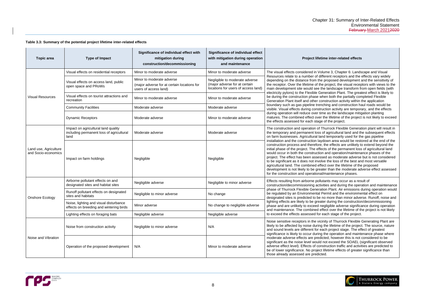#### <span id="page-10-0"></span>**Table 3.3: Summary of the potential project lifetime inter-related effects**

#### **Project lifetime inter-related effects**

lume 3, Chapter 6: Landscape and Visual fferent receptors and the effects vary widely proposed development and the sensitivity of e project, the visual receptors with views to the he landscape transform from open fields (with eneration Plant. The greatest effect is likely to then both the partially completed Flexible onstruction activity within the application iching and construction haul roads would be uction activity are temporary, and the effects ne as the landscape mitigation planting the lifetime of the project is not likely to exceed of the project.

Thurrock Flexible Generation plant will result in of agricultural land and the subsequent effects nd temporarily used for the gas pipeline down area would be restored at the end of the the effects are unlikely to extend beyond the ects of the permanent loss of agricultural land In and operation/maintenance phases of the sed as moderate adverse but is not considered Ive the loss of the best and most versatile ect over the lifetime of the proposed ater than the moderate adverse effect assessed I/maintenance phases.

ities and during the operation and maintenance tion Plant. Air emissions during operation would Permit and the environmental effect on no more than minor adverse. Runoff, noise and ter during the construction/decommissioning egligible adverse significance during operation ffect over the lifetime of the project is not likely each stage of the project.

inity of Thurrock Flexible Generating Plant are the lifetime of the project. The source, nature ach project stage. The effect of greatest the operation and maintenance phase where icted, however this is not considered to be not exceed the SOAEL (significant observed astruction traffic and activities are predicted to lifetime effects of greater significance than



| <b>Topic area</b>                            | <b>Type of Impact</b>                                                                   | Significance of individual effect with<br>mitigation during<br>construction/decommissioning       | <b>Significance of individual effect</b><br>with mitigation during operation<br>and maintenance        | Project lifetime inter-related effects                                                                                                                                                                                                                                                                                                                                                                                                                                                                                                                                                                                                       |  |  |  |  |
|----------------------------------------------|-----------------------------------------------------------------------------------------|---------------------------------------------------------------------------------------------------|--------------------------------------------------------------------------------------------------------|----------------------------------------------------------------------------------------------------------------------------------------------------------------------------------------------------------------------------------------------------------------------------------------------------------------------------------------------------------------------------------------------------------------------------------------------------------------------------------------------------------------------------------------------------------------------------------------------------------------------------------------------|--|--|--|--|
|                                              | Visual effects on residential receptors                                                 | Minor to moderate adverse                                                                         | Minor to moderate adverse                                                                              | The visual effects considered in Volume 3, Chapter 6: Landscape                                                                                                                                                                                                                                                                                                                                                                                                                                                                                                                                                                              |  |  |  |  |
|                                              | Visual effects on access land, public<br>open space and PRoWs                           | Minor to moderate adverse<br>(major adverse for at certain locations for<br>users of access land) | Negligible to moderate adverse<br>(major adverse for at certain<br>locations for users of access land) | Resources relate to a number of different receptors and the effect<br>depending on the distance from the proposed development and th<br>the receptor. Over the lifetime of the project, the visual receptors v<br>main development site would see the landscape transform from o                                                                                                                                                                                                                                                                                                                                                             |  |  |  |  |
| <b>Visual Resources</b>                      | Visual effects on tourist attractions and<br>recreation                                 | Minor to moderate adverse                                                                         | Minor to moderate adverse                                                                              | electricity pylons) to the Flexible Generation Plant. The greatest e<br>be during the construction phase when both the partially complete<br>Generation Plant itself and other construction activity within the ap                                                                                                                                                                                                                                                                                                                                                                                                                           |  |  |  |  |
|                                              | <b>Community Facilities</b>                                                             | Moderate adverse                                                                                  | Moderate adverse                                                                                       | boundary such as gas pipeline trenching and construction haul roa<br>visible. Visual effects during construction activity are temporary, a                                                                                                                                                                                                                                                                                                                                                                                                                                                                                                   |  |  |  |  |
|                                              | <b>Dynamic Receptors</b>                                                                | Moderate adverse                                                                                  | Minor to moderate adverse                                                                              | during operation will reduce over time as the landscape mitigation<br>matures. The combined effect over the lifetime of the project is no<br>the effects assessed for each stage of the project.                                                                                                                                                                                                                                                                                                                                                                                                                                             |  |  |  |  |
|                                              | Impact on agricultural land quality<br>including permanent loss of agricultural<br>land | Moderate adverse                                                                                  | Moderate adverse                                                                                       | The construction and operation of Thurrock Flexible Generation p<br>the temporary and permanent loss of agricultural land and the sub<br>on farm businesses. Agricultural land temporarily used for the gas                                                                                                                                                                                                                                                                                                                                                                                                                                  |  |  |  |  |
| Land use, Agriculture<br>and Socio-economics | Impact on farm holdings                                                                 | Negligible                                                                                        | Negligible                                                                                             | installation and the construction laydown area would be restored a<br>construction process and therefore, the effects are unlikely to exte<br>initial phase of the project. The effects of the permanent loss of ag<br>would occur in both the construction and operation/maintenance p<br>project. The effect has been assessed as moderate adverse but is<br>to be significant as it does not involve the loss of the best and mo<br>agricultural land. The combined effect over the lifetime of the prop<br>development is not likely to be greater than the moderate adverse<br>for the construction and operational/maintenance phases. |  |  |  |  |
|                                              | Airborne pollutant effects on and<br>designated sites and habitat sites                 | Negligible adverse                                                                                | Negligible to minor adverse                                                                            | Effects resulting from airborne pollutants may occur as a result of<br>construction/decommissioning activities and during the operation                                                                                                                                                                                                                                                                                                                                                                                                                                                                                                      |  |  |  |  |
| Onshore Ecology                              | Runoff pollutant effects on designated<br>sites and habitats                            | Negligible to minor adverse                                                                       | No change                                                                                              | phase of Thurrock Flexible Generation Plant. Air emissions during<br>be regulated by an Environmental Permit and the environmental e<br>designated sites is predicted to be no more than minor adverse. R                                                                                                                                                                                                                                                                                                                                                                                                                                    |  |  |  |  |
|                                              | Noise, lighting and visual disturbance<br>effects on breeding and wintering birds       | Minor adverse                                                                                     | No change to negligible adverse                                                                        | lighting effects are likely to be greater during the construction/dec<br>phase and are unlikely to exceed negligible adverse significance of<br>and maintenance. The combined effect over the lifetime of the pro                                                                                                                                                                                                                                                                                                                                                                                                                            |  |  |  |  |
|                                              | Lighting effects on foraging bats                                                       | Negligible adverse                                                                                | Negligible adverse                                                                                     | to exceed the effects assessed for each stage of the project.                                                                                                                                                                                                                                                                                                                                                                                                                                                                                                                                                                                |  |  |  |  |
| Noise and Vibration                          | Noise from construction activity                                                        | Negligible to minor adverse                                                                       | N/A                                                                                                    | Noise sensitive receptors in the vicinity of Thurrock Flexible Gene<br>likely to be affected by noise during the lifetime of the project. The<br>and sound levels are different for each project stage. The effect of<br>significance is likely to occur during the operation and maintenand                                                                                                                                                                                                                                                                                                                                                 |  |  |  |  |
|                                              | Operation of the proposed development                                                   | N/A                                                                                               | Minor to moderate adverse                                                                              | moderate adverse effects are predicted, however this is not consi-<br>significant as the noise level would not exceed the SOAEL (signifi<br>adverse effect level). Effects of construction traffic and activities a<br>be of lower significance. No project lifetime effects of greater signi<br>those already assessed are predicted.                                                                                                                                                                                                                                                                                                       |  |  |  |  |

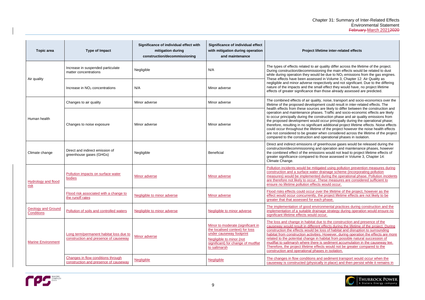#### **Project lifetime inter-related effects**

uality differ across the lifetime of the project. ing the main effects would be related to dust be due to  $NO<sub>2</sub>$  emissions from the gas engines. in Volume 3, Chapter 12: Air Quality as ectively and not significant. Due to the differing. effect they would have, no project lifetime those already assessed are predicted.

noise, transport and socio-economics over the ent could result in inter-related effects. The are likely to differ between the construction and s. Traffic and socio-economic effects are likely truction phase and air quality emissions from occur principally during the operational phase; additional project lifetime effects. Noise effects. of the project however the noise health effects nen considered across the lifetime of the project pperational phases in isolation.

eenhouse gases would be released during the operation and maintenance phases, however ns would not lead to project lifetime effects of nose assessed in Volume 3, Chapter 14:

Pollution prevention measures during rainage scheme (incorporating pollution during the operational phase. Pollution incidents ese measures are considered sufficient to would occur.

the lifetime of the project, however as the project lifetime effects are not likely to be phase.

nmental practices during construction and the ge strategy during operation would ensure no

to the construction and presence of the effects during the lifetime of the project. During ss of habitat and disruption to surrounding However, during operation the effects are more abitat from possible natural succession of sediment accumulation in the causeway lee. ts would not be greater compared to the s in isolation.

sediment transport would occur when the  $\gamma$  in place) and then persist while it remains in



| <b>Topic area</b>                              | <b>Type of Impact</b>                                                            | Significance of individual effect with<br>mitigation during<br>construction/decommissioning | Significance of individual effect<br>with mitigation during operation<br>and maintenance                                                                                           | <b>Project lifetime</b>                                                                                                                                                                                                                                                                                                                                                                                                            |
|------------------------------------------------|----------------------------------------------------------------------------------|---------------------------------------------------------------------------------------------|------------------------------------------------------------------------------------------------------------------------------------------------------------------------------------|------------------------------------------------------------------------------------------------------------------------------------------------------------------------------------------------------------------------------------------------------------------------------------------------------------------------------------------------------------------------------------------------------------------------------------|
| Air quality                                    | Increase in suspended particulate<br>matter concentrations                       | Negligible                                                                                  | N/A                                                                                                                                                                                | The types of effects related to air quali<br>During construction/decommissioning<br>while during operation they would be c<br>These effects have been assessed in '<br>negligible and minor adverse respectiv<br>nature of the impacts and the small eff<br>effects of greater significance than tho                                                                                                                               |
|                                                | Increase in NO <sub>2</sub> concentrations                                       | N/A                                                                                         | Minor adverse                                                                                                                                                                      |                                                                                                                                                                                                                                                                                                                                                                                                                                    |
| Human health                                   | Changes to air quality                                                           | Minor adverse                                                                               | Minor adverse                                                                                                                                                                      | The combined effects of air quality, no<br>lifetime of the proposed development o<br>health effects from these sources are I<br>operation and maintenance phases. Tr<br>to occur principally during the construc<br>the proposed development would occu<br>therefore, resulting in no significant ad<br>could occur throughout the lifetime of t<br>are not considered to be greater when<br>compared to the construction and oper |
|                                                | Changes to noise exposure                                                        | Minor adverse                                                                               | Minor adverse                                                                                                                                                                      |                                                                                                                                                                                                                                                                                                                                                                                                                                    |
| Climate change                                 | Direct and indirect emission of<br>greenhouse gases (GHGs)                       | Negligible                                                                                  | <b>Beneficial</b>                                                                                                                                                                  | Direct and indirect emissions of greenl<br>construction/decommissioning and ope<br>the combined effect of the emissions v<br>greater significance compared to those<br>Climate Change.                                                                                                                                                                                                                                             |
| <b>Hydrology and flood</b><br>risk             | Pollution impacts on surface water<br>bodies                                     | <b>Minor adverse</b>                                                                        | <b>Minor adverse</b>                                                                                                                                                               | Pollution incidents would be mitigated<br>construction and a surface water drain<br>measures) would be implemented duri<br>are therefore not likely to occur. These<br>ensure no lifetime pollution effects wou                                                                                                                                                                                                                    |
|                                                | Flood risk associated with a change to<br>the runoff rates                       | Negligible to minor adverse                                                                 | Minor adverse                                                                                                                                                                      | Flood risks effects could occur over the<br>effect would occur concurrently, the pr<br>greater that that assessed for each ph                                                                                                                                                                                                                                                                                                      |
| <b>Geology and Ground</b><br><b>Conditions</b> | Pollution of soils and controlled waters                                         | <b>Negligible to minor adverse</b>                                                          | Negligible to minor adverse                                                                                                                                                        | The implementation of good environment<br>implementation of a suitable drainage<br>significant lifetime effects would occur.                                                                                                                                                                                                                                                                                                       |
| <b>Marine Environment</b>                      | Long term/permanent habitat loss due to<br>construction and presence of causeway | Minor adverse                                                                               | Minor to moderate (significant in<br>the localised context) for loss<br>under causeway footprint<br>Negligible to minor (not<br>significant) for change of mudflat<br>to saltmarsh | The loss and change in habitat due to<br>causeway would result in different effe<br>construction the effects would be loss<br>habitat from construction activities. Ho<br>related to the potential change in habit<br>mudflat to saltmarsh where there is se<br>Therefore, the project lifetime effects v<br>construction and operational phases in                                                                                |
|                                                | Changes in flow conditions through<br>construction and presence of causeway      | <b>Negligible</b>                                                                           | <b>Negligible</b>                                                                                                                                                                  | The changes in flow conditions and se<br>causeway is constructed (physically in                                                                                                                                                                                                                                                                                                                                                    |

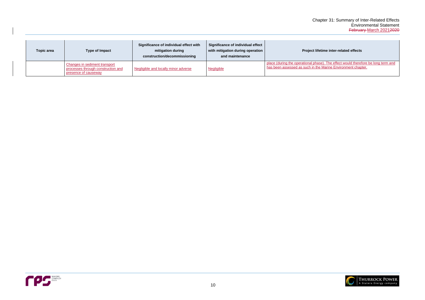#### **Project inter-related effects**

e). The effect would therefore be long term and Marine Environment chapter.



| Topic area | <b>Type of Impact</b>                                                                              | Significance of individual effect with<br>mitigation during<br>construction/decommissioning | Significance of individual effect<br>with mitigation during operation<br>and maintenance | <b>Project lifeti</b>                                                     |
|------------|----------------------------------------------------------------------------------------------------|---------------------------------------------------------------------------------------------|------------------------------------------------------------------------------------------|---------------------------------------------------------------------------|
|            | <b>Changes in sediment transport</b><br>processes through construction and<br>presence of causeway | Negligible and locally minor adverse                                                        | <b>Negligible</b>                                                                        | place (during the operational phase<br>has been assessed as such in the I |

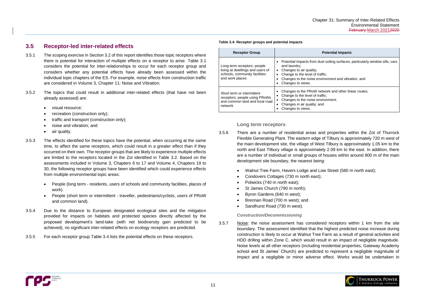#### **Potential Impacts**

est soiling surfaces, particularly window sills, cars

affic; *i* ronment and vibration; and

etwork and other linear routes; vironment:



# <span id="page-13-0"></span>**3.5 Receptor-led inter-related effects**

- 3.5.1 The scoping exercise in Section [3.2](#page-6-2) of this report identifies those topic receptors where there is potential for interaction of multiple effects on a receptor to arise. [Table 3.1](#page-7-0) considers the potential for inter-relationships to occur for each receptor group and considers whether any potential effects have already been assessed within the individual topic chapters of the ES. For example, noise effects from construction traffic are considered in Volume 3, Chapter 11: Noise and Vibration.
- 3.5.2 The topics that could result in additional inter-related effects (that have not been already assessed) are:
	- visual resource;
	- recreation (construction only);
	- traffic and transport (construction only):
	- noise and vibration; and
	- air quality.
- 3.5.3 The effects identified for these topics have the potential, when occurring at the same time, to affect the same receptors, which could result in a greater effect than if they occurred on their own. The receptor groups that are likely to experience multiple effects are limited to the receptors located in the ZoI identified in [Table 3.2.](#page-9-2) Based on the assessments included in Volume 3, Chapters 6 to 17 and Volume 4, Chapters 19 to 30, the following receptor groups have been identified which could experience effects from multiple environmental topic areas:
	- People (long term residents, users of schools and community facilities, places of work).
	- People (short term or intermittent traveller, pedestrians/cyclists, users of PRoW and common land).
- 3.5.4 Due to the distance to European designated ecological sites and the mitigation provided for impacts on habitats and protected species directly affected by the proposed development's land-take (with net biodiversity gain predicted to be achieved), no significant inter-related effects on ecology receptors are predicted.
- 3.5.5 For each receptor group [Table 3.4](#page-13-1) lists the potential effects on these receptors.
- 3.5.6 There are a number of residential areas and properties within the ZoI of Thurrock Flexible Generating Plant. The eastern edge of Tilbury is approximately 720 m west of the main development site, the village of West Tilbury is approximately 1.05 km to the north and East Tilbury village is approximately 2.09 km to the east. In addition, there are a number of individual or small groups of houses within around 800 m of the main development site boundary, the nearest being:
	- Walnut Tree Farm, Havers Lodge and Low Street (580 m north east);
	- Condovers Cottages (730 m north east);
	- Polwicks (740 m north east);
	- St James Church (790 m north);
	- Byron Gardens (640 m west);
	- Brennan Road (700 m west); and
	- Sandhurst Road (730 m west).

#### <span id="page-13-1"></span>**Table 3.4: Receptor groups and potential impacts**

| <b>Receptor Group</b>                                                                                               | Po                                                                                                                                                               |
|---------------------------------------------------------------------------------------------------------------------|------------------------------------------------------------------------------------------------------------------------------------------------------------------|
| Long term receptors: people<br>living at dwellings and users of<br>schools, community facilities<br>and work places | Potential impacts from dust s<br>and laundry;<br>Changes to air quality;<br>Change to the level of traffic;<br>Changes to the noise enviror<br>Changes to views. |
| Short term or intermittent<br>receptors: people using PRoWs<br>and common land and local road<br>network            | Changes to the PRoW netwo<br>Change to the level of traffic;<br>Changes to the noise enviror<br>Changes in air quality; and<br>Changes to views.                 |

### **Long term receptors**

#### *Construction/Decommissioning*

3.5.7 Noise: the noise assessment has considered receptors within 1 km from the site boundary. The assessment identified that the highest predicted noise increase during construction is likely to occur at Walnut Tree Farm as a result of general activities and HDD drilling within Zone C, which would result in an impact of negligible magnitude. Noise levels at all other receptors (including residential properties, Gateway Academy school and St James' Church) are predicted to represent a negligible magnitude of impact and a negligible or minor adverse effect. Works would be undertaken in

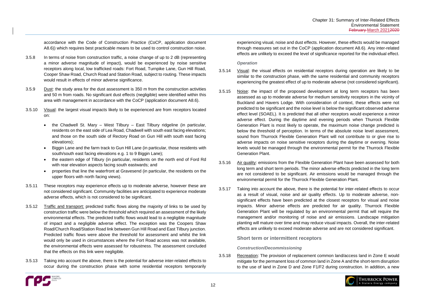

accordance with the Code of Construction Practice (CoCP, application document A8.6)) which requires best practicable means to be used to control construction noise.

- 3.5.8 In terms of noise from construction traffic, a noise change of up to 2 dB (representing a minor adverse magnitude of impact), would be experienced by noise sensitive receptors along local, low trafficked roads: Fort Road, Turnpike Lane, Gun Hill Road, Cooper Shaw Road, Church Road and Station Road, subject to routing. These impacts would result in effects of minor adverse significance.
- 3.5.9 Dust: the study area for the dust assessment is 350 m from the construction activities and 50 m from roads. No significant dust effects (negligible) were identified within this area with management in accordance with the CoCP (application document A8.6).
- 3.5.10 Visual: the largest visual impacts likely to be experienced are from receptors located on:
	- the Chadwell St. Mary West Tilbury East Tilbury ridgeline (in particular, residents on the east side of Lea Road, Chadwell with south east facing elevations; and those on the south side of Rectory Road on Gun Hill with south east facing elevations);
	- Biggin Lane and the farm track to Gun Hill Lane (in particular, those residents with south/south east facing elevations e.g. 1 to 9 Biggin Lane);
	- the eastern edge of Tilbury (in particular, residents on the north end of Ford Rd with rear elevation aspects facing south eastwards; and
	- properties that line the waterfront at Gravesend (in particular, the residents on the upper floors with north facing views).
- 3.5.11 These receptors may experience effects up to moderate adverse, however these are not considered significant. Community facilities are anticipated to experience moderate adverse effects, which is not considered to be significant.
- 3.5.12 Traffic and transport: predicted traffic flows along the majority of links to be used by construction traffic were below the threshold which required an assessment of the likely environmental effects. The predicted traffic flows would lead to a negligible magnitude of impact and a negligible adverse effect. The exception was the Coopers Shaw Road/Church Road/Station Road link between Gun Hill Road and East Tilbury junction. Predicted traffic flows were above the threshold for assessment and whilst the link would only be used in circumstances where the Fort Road access was not available, the environmental effects were assessed for robustness. The assessment concluded that the effects on this link were negligible.
- 3.5.13 Taking into account the above, there is the potential for adverse inter-related effects to occur during the construction phase with some residential receptors temporarily



experiencing visual, noise and dust effects. However, these effects would be managed through measures set out in the CoCP (application document A8.6). Any inter-related effects are unlikely to exceed the level of significance reported for the individual effect.

### *Operation*

- 3.5.14 Visual: the visual effects on residential receptors during operation are likely to be similar to the construction phase, with the same residential and community receptors experiencing the greatest effect of up to moderate adverse (not considered significant).
- 3.5.15 Noise: the impact of the proposed development at long term receptors has been assessed as up to moderate adverse for medium sensitivity receptors in the vicinity of Buckland and Havers Lodge. With consideration of context, these effects were not predicted to be significant and the noise level is below the significant observed adverse effect level (SOAEL). It is predicted that all other receptors would experience a minor adverse effect. During the daytime and evening periods when Thurrock Flexible Generation Plant is most likely to operate, the maximum noise change predicted is below the threshold of perception. In terms of the absolute noise level assessment, sound from Thurrock Flexible Generation Plant will not contribute to or give rise to adverse impacts on noise sensitive receptors during the daytime or evening. Noise levels would be managed through the environmental permit for the Thurrock Flexible Generation Plant.
- 3.5.16 Air quality: emissions from the Flexible Generation Plant have been assessed for both long term and short term periods. The minor adverse effects predicted in the long term are not considered to be significant. Air emissions would be managed through the environmental permit for the Thurrock Flexible Generation Plant.
- 3.5.17 Taking into account the above, there is the potential for inter-related effects to occur as a result of visual, noise and air quality effects. Up to moderate adverse, nonsignificant effects have been predicted at the closest receptors for visual and noise impacts. Minor adverse effects are predicted for air quality. Thurrock Flexible Generation Plant will be regulated by an environmental permit that will require the management and/or monitoring of noise and air emissions. Landscape mitigation planting will mature over time and may reduce visual impacts. Overall, the inter-related effects are unlikely to exceed moderate adverse and are not considered significant.

**Short term or intermittent receptors**

*Construction/Decommissioning*

3.5.18 Recreation: The provision of replacement common land/access land in Zone E would mitigate for the permanent loss of common land in Zone A and the short-term disruption to the use of land in Zone D and Zone F1/F2 during construction. In addition, a new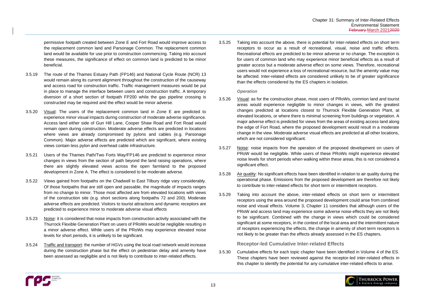

permissive footpath created between Zone E and Fort Road would improve access to the replacement common land and Parsonage Common. The replacement common land would be available for use prior to construction commencing. Taking into account these measures, the significance of effect on common land is predicted to be minor beneficial.

- 3.5.19 The route of the Thames Estuary Path (FP146) and National Cycle Route (NCR) 13 would remain along its current alignment throughout the construction of the causeway and access road for construction traffic. Traffic management measures would be put in place to manage the interface between users and construction traffic. A temporary diversion of a short section of footpath FP200 while the gas pipeline crossing is constructed may be required and the effect would be minor adverse.
- 3.5.20 Visual: The users of the replacement common land in Zone E are predicted to experience minor visual impacts during construction of moderate adverse significance. Access land either side of Gun Hill Lane, Cooper Shaw Road and Fort Road would remain open during construction. Moderate adverse effects are predicted in locations where views are already compromised by pylons and cables (e.g. Parsonage Common). Major adverse effects are predicted which are significant, where existing views contain less pylon and overhead cable infrastructure.
- 3.5.21 Users of the Thames Path/Two Forts Way/FP146 are predicted to experience minor changes in views from the section of path beyond the land raising operations, where there are slightly elevated views across the open farmland to the proposed development in Zone A. The effect is considered to be moderate adverse.
- 3.5.22 Views gained from footpaths on the Chadwell to East Tilbury ridge vary considerably. Of those footpaths that are still open and passable, the magnitude of impacts ranges from no change to minor. Those most affected are from elevated locations with views of the construction site (e.g. short sections along footpaths 72 and 200). Moderate adverse effects are predicted. Visitors to tourist attractions and dynamic receptors are predicted to experience minor to moderate adverse visual effects
- 3.5.23 Noise: it is considered that noise impacts from construction activity associated with the Thurrock Flexible Generation Plant on users of PRoWs would be negligible resulting in a minor adverse effect. While users of the PRoWs may experience elevated noise levels for short periods, it is unlikely to be significant.
- 3.5.24 Traffic and transport: the number of HGVs using the local road network would increase during the construction phase but the effect on pedestrian delay and amenity have been assessed as negligible and is not likely to contribute to inter-related effects.

3.5.25 Taking into account the above, there is potential for inter-related effects on short term receptors to occur as a result of recreational, visual, noise and traffic effects. Recreational effects are predicted to be minor adverse or no change. The exception is for users of common land who may experience minor beneficial effects as a result of greater access but a moderate adverse effect on some views. Therefore, recreational users would not experience a loss of recreational resource, but the amenity value may be affected. Inter-related effects are considered unlikely to be of greater significance than the effects considered by the ES chapters in isolation.

### *Operation*

- 3.5.26 Visual: as for the construction phase, most users of PRoWs, common land and tourist areas would experience negligible to minor changes in views, with the greatest changes predicted at locations closest to Thurrock Flexible Generation Plant, at elevated locations, or where there is minimal screening from buildings or vegetation. A major adverse effect is predicted for views from the areas of existing access land along the edge of Fort Road, where the proposed development would result in a moderate change in the view. Moderate adverse visual effects are predicted at all other locations, which are not considered significant.
- 3.5.27 Noise: noise impacts from the operation of the proposed development on users of PRoW would be negligible. While users of these PRoWs might experience elevated noise levels for short periods when walking within these areas, this is not considered a significant effect.
- 3.5.28 Air quality: No significant effects have been identified in relation to air quality during the operational phase. Emissions from the proposed development are therefore not likely to contribute to inter-related effects for short term or intermittent receptors.
- 3.5.29 Taking into account the above, inter-related effects on short term or intermittent receptors using the area around the proposed development could arise from combined noise and visual effects. Volume 3, Chapter 11 considers that although users of the PRoW and access land may experience some adverse noise effects they are not likely to be significant. Combined with the change in views which could be considered significant at some receptors, in the context of the local area and the intermittent nature of receptors experiencing the effects, the change in amenity of short term receptors is not likely to be greater than the effects already assessed in the ES chapters.

## **Receptor-led Cumulative Inter-related Effects**

3.5.30 Cumulative effects for each topic chapter have been identified in Volume 4 of the ES. These chapters have been reviewed against the receptor-led inter-related effects in this chapter to identify the potential for any cumulative inter-related effects to arise.

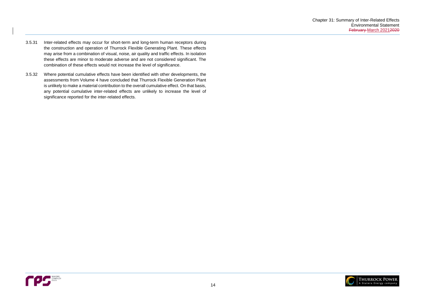

- 3.5.31 Inter-related effects may occur for short-term and long-term human receptors during the construction and operation of Thurrock Flexible Generating Plant. These effects may arise from a combination of visual, noise, air quality and traffic effects. In isolation these effects are minor to moderate adverse and are not considered significant. The combination of these effects would not increase the level of significance.
- 3.5.32 Where potential cumulative effects have been identified with other developments, the assessments from Volume 4 have concluded that Thurrock Flexible Generation Plant is unlikely to make a material contribution to the overall cumulative effect. On that basis, any potential cumulative inter-related effects are unlikely to increase the level of significance reported for the inter-related effects.

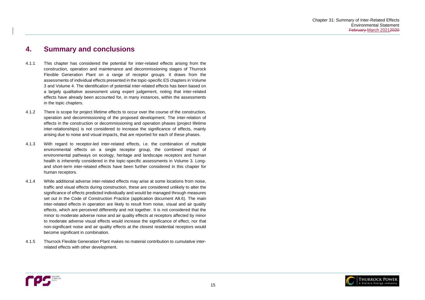

# <span id="page-17-0"></span>**4. Summary and conclusions**

- 4.1.1 This chapter has considered the potential for inter-related effects arising from the construction, operation and maintenance and decommissioning stages of Thurrock Flexible Generation Plant on a range of receptor groups. It draws from the assessments of individual effects presented in the topic-specific ES chapters in Volume 3 and Volume 4. The identification of potential inter-related effects has been based on a largely qualitative assessment using expert judgement, noting that inter-related effects have already been accounted for, in many instances, within the assessments in the topic chapters.
- 4.1.2 There is scope for project lifetime effects to occur over the course of the construction, operation and decommissioning of the proposed development. The inter-relation of effects in the construction or decommissioning and operation phases (project lifetime inter-relationships) is not considered to increase the significance of effects, mainly arising due to noise and visual impacts, that are reported for each of these phases.
- 4.1.3 With regard to receptor-led inter-related effects, i.e. the combination of multiple environmental effects on a single receptor group, the combined impact of environmental pathways on ecology, heritage and landscape receptors and human health is inherently considered in the topic-specific assessments in Volume 3. Longand short-term inter-related effects have been further considered in this chapter for human receptors.
- 4.1.4 While additional adverse inter-related effects may arise at some locations from noise, traffic and visual effects during construction, these are considered unlikely to alter the significance of effects predicted individually and would be managed through measures set out in the Code of Construction Practice (application document A8.6). The main inter-related effects in operation are likely to result from noise, visual and air quality effects, which are perceived differently and not together. It is not considered that the minor to moderate adverse noise and air quality effects at receptors affected by minor to moderate adverse visual effects would increase the significance of effect, nor that non-significant noise and air quality effects at the closest residential receptors would become significant in combination.
- 4.1.5 Thurrock Flexible Generation Plant makes no material contribution to cumulative interrelated effects with other development.